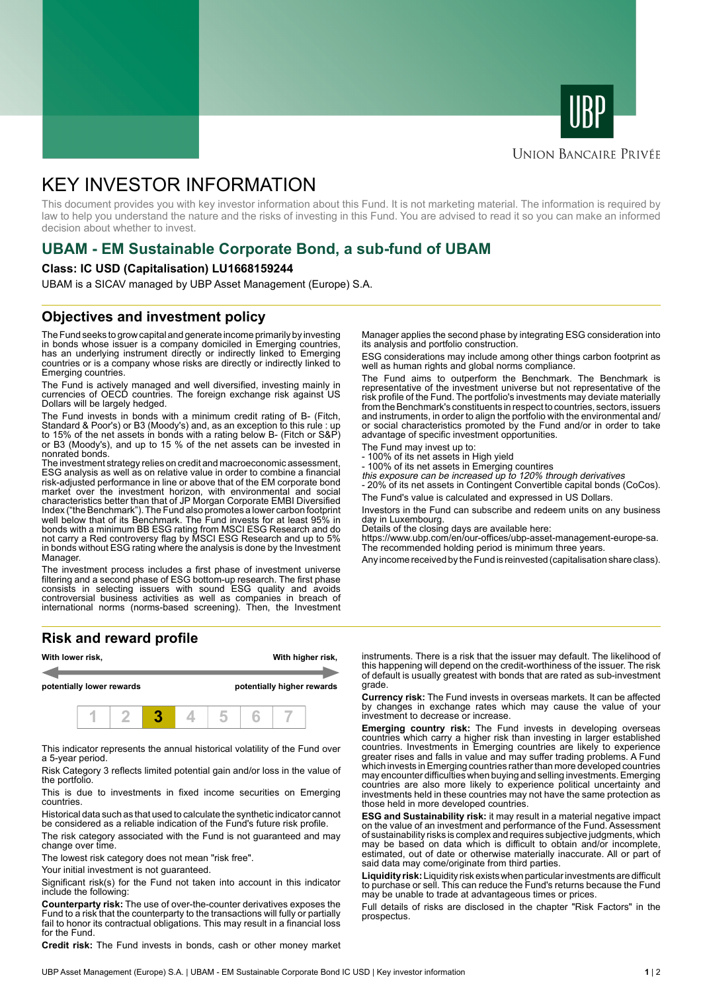



### **UNION BANCAIRE PRIVÉE**

# KEY INVESTOR INFORMATION

This document provides you with key investor information about this Fund. It is not marketing material. The information is required by law to help you understand the nature and the risks of investing in this Fund. You are advised to read it so you can make an informed decision about whether to invest.

# **UBAM - EM Sustainable Corporate Bond, a sub-fund of UBAM**

#### **Class: IC USD (Capitalisation) LU1668159244**

UBAM is a SICAV managed by UBP Asset Management (Europe) S.A.

### **Objectives and investment policy**

The Fund seeks to grow capital and generate income primarily by investing in bonds whose issuer is a company domiciled in Emerging countries, has an underlying instrument directly or indirectly linked to Emerging countries or is a company whose risks are directly or indirectly linked to Emerging countries.

The Fund is actively managed and well diversified, investing mainly in currencies of OECD countries. The foreign exchange risk against US Dollars will be largely hedged.

The Fund invests in bonds with a minimum credit rating of B- (Fitch, Standard & Poor's) or B3 (Moody's) and, as an exception to this rule : up to 15% of the net assets in bonds with a rating below B- (Fitch or S&P) or B3 (Moody's), and up to 15 % of the net assets can be invested in nonrated bonds.

The investment strategy relies on credit and macroeconomic assessment, ESG analysis as well as on relative value in order to combine a financial risk-adjusted performance in line or above that of the EM corporate bond market over the investment horizon, with environmental and social characteristics better than that of JP Morgan Corporate EMBI Diversified Index ("the Benchmark"). The Fund also promotes a lower carbon footprint well below that of its Benchmark. The Fund invests for at least 95% in bonds with a minimum BB ESG rating from MSCI ESG Research and do not carry a Red controversy flag by MSCI ESG Research and up to 5% in bonds without ESG rating where the analysis is done by the Investment Manager.

The investment process includes a first phase of investment universe filtering and a second phase of ESG bottom-up research. The first phase consists in selecting issuers with sound ESG quality and avoids controversial business activities as well as companies in breach of international norms (norms-based screening). Then, the Investment

#### **Risk and reward profile**



This indicator represents the annual historical volatility of the Fund over a 5-year period.

Risk Category 3 reflects limited potential gain and/or loss in the value of the portfolio.

This is due to investments in fixed income securities on Emerging countries.

Historical data such as that used to calculate the synthetic indicator cannot be considered as a reliable indication of the Fund's future risk profile.

The risk category associated with the Fund is not guaranteed and may change over time.

The lowest risk category does not mean "risk free".

Your initial investment is not guaranteed.

Significant risk(s) for the Fund not taken into account in this indicator include the following:

**Counterparty risk:** The use of over-the-counter derivatives exposes the Fund to a risk that the counterparty to the transactions will fully or partially fail to honor its contractual obligations. This may result in a financial loss for the Fund.

**Credit risk:** The Fund invests in bonds, cash or other money market

Manager applies the second phase by integrating ESG consideration into its analysis and portfolio construction.

ESG considerations may include among other things carbon footprint as well as human rights and global norms compliance.

The Fund aims to outperform the Benchmark. The Benchmark is representative of the investment universe but not representative of the risk profile of the Fund. The portfolio's investments may deviate materially from the Benchmark's constituents in respect to countries, sectors, issuers and instruments, in order to align the portfolio with the environmental and/ or social characteristics promoted by the Fund and/or in order to take advantage of specific investment opportunities.

- The Fund may invest up to:
- 100% of its net assets in High yield
- 100% of its net assets in Emerging countires this exposure can be increased up to 120% through derivatives
- 20% of its net assets in Contingent Convertible capital bonds (CoCos).

The Fund's value is calculated and expressed in US Dollars.

Investors in the Fund can subscribe and redeem units on any business day in Luxembourg.

Details of the closing days are available here:

https://www.ubp.com/en/our-offices/ubp-asset-management-europe-sa. The recommended holding period is minimum three years.

Any income received by the Fund is reinvested (capitalisation share class).

instruments. There is a risk that the issuer may default. The likelihood of this happening will depend on the credit-worthiness of the issuer. The risk of default is usually greatest with bonds that are rated as sub-investment grade.

**Currency risk:** The Fund invests in overseas markets. It can be affected by changes in exchange rates which may cause the value of your investment to decrease or increase.

**Emerging country risk:** The Fund invests in developing overseas countries which carry a higher risk than investing in larger established countries. Investments in Emerging countries are likely to experience greater rises and falls in value and may suffer trading problems. A Fund which invests in Emerging countries rather than more developed countries may encounter difficulties when buying and selling investments. Emerging countries are also more likely to experience political uncertainty and investments held in these countries may not have the same protection as those held in more developed countries.

**ESG and Sustainability risk:** it may result in a material negative impact on the value of an investment and performance of the Fund. Assessment of sustainability risks is complex and requires subjective judgments, which may be based on data which is difficult to obtain and/or incomplete, estimated, out of date or otherwise materially inaccurate. All or part of said data may come/originate from third parties.

**Liquidity risk:** Liquidity risk exists when particular investments are difficult to purchase or sell. This can reduce the Fund's returns because the Fund may be unable to trade at advantageous times or prices.

Full details of risks are disclosed in the chapter "Risk Factors" in the prospectus.